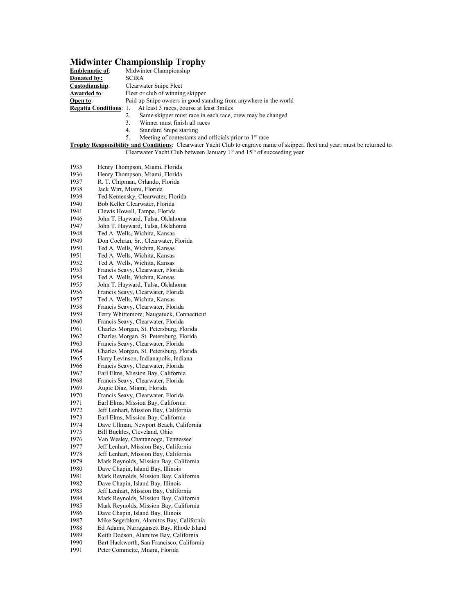## **Midwinter Championship Trophy**

| <b>Emblematic of:</b>         | Midwinter Championship                                           |
|-------------------------------|------------------------------------------------------------------|
| <b>Donated by:</b>            | <b>SCIRA</b>                                                     |
| Custodianship:                | Clearwater Snipe Fleet                                           |
| Awarded to:                   | Fleet or club of winning skipper                                 |
| Open to:                      | Paid up Snipe owners in good standing from anywhere in the world |
| <b>Regatta Conditions: 1.</b> | At least 3 races, course at least 3 miles                        |
|                               | Same skipper must race in each race, crew may be changed         |
|                               | Winner must finish all races                                     |
|                               | Standard Snipe starting<br>4.                                    |
|                               |                                                                  |

5. Meeting of contestants and officials prior to 1<sup>st</sup> race

**Trophy Responsibility and Conditions**: Clearwater Yacht Club to engrave name of skipper, fleet and year; must be returned to Clearwater Yacht Club between January 1<sup>st</sup> and 15<sup>th</sup> of succeeding year

| 1935 | Henry Thompson, Miami, Florida            |
|------|-------------------------------------------|
| 1936 | Henry Thompson, Miami, Florida            |
| 1937 | R. T. Chipman, Orlando, Florida           |
| 1938 | Jack Wirt, Miami, Florida                 |
| 1939 | Ted Kemensky, Clearwater, Florida         |
| 1940 | Bob Keller Clearwater, Florida            |
| 1941 | Clewis Howell, Tampa, Florida             |
| 1946 | John T. Hayward, Tulsa, Oklahoma          |
| 1947 | John T. Hayward, Tulsa, Oklahoma          |
| 1948 | Ted A. Wells, Wichita, Kansas             |
| 1949 | Don Cochran, Sr., Clearwater, Florida     |
| 1950 | Ted A. Wells, Wichita, Kansas             |
| 1951 | Ted A. Wells, Wichita, Kansas             |
| 1952 | Ted A. Wells, Wichita, Kansas             |
| 1953 | Francis Seavy, Clearwater, Florida        |
| 1954 | Ted A. Wells, Wichita, Kansas             |
| 1955 | John T. Hayward, Tulsa, Oklahoma          |
| 1956 | Francis Seavy, Clearwater, Florida        |
| 1957 | Ted A. Wells, Wichita, Kansas             |
| 1958 | Francis Seavy, Clearwater, Florida        |
| 1959 | Terry Whittemore, Naugatuck, Connecticut  |
| 1960 | Francis Seavy, Clearwater, Florida        |
| 1961 | Charles Morgan, St. Petersburg, Florida   |
| 1962 | Charles Morgan, St. Petersburg, Florida   |
| 1963 | Francis Seavy, Clearwater, Florida        |
| 1964 | Charles Morgan, St. Petersburg, Florida   |
| 1965 | Harry Levinson, Indianapolis, Indiana     |
| 1966 | Francis Seavy, Clearwater, Florida        |
| 1967 | Earl Elms, Mission Bay, California        |
| 1968 | Francis Seavy, Clearwater, Florida        |
| 1969 | Augie Diaz, Miami, Florida                |
| 1970 | Francis Seavy, Clearwater, Florida        |
| 1971 | Earl Elms, Mission Bay, California        |
| 1972 | Jeff Lenhart, Mission Bay, California     |
| 1973 | Earl Elms, Mission Bay, California        |
| 1974 | Dave Ullman, Newport Beach, California    |
| 1975 | Bill Buckles, Cleveland, Ohio             |
| 1976 | Van Wesley, Chattanooga, Tennessee        |
| 1977 | Jeff Lenhart, Mission Bay, California     |
| 1978 | Jeff Lenhart, Mission Bay, California     |
| 1979 | Mark Reynolds, Mission Bay, California    |
| 1980 | Dave Chapin, Island Bay, Illinois         |
| 1981 | Mark Reynolds, Mission Bay, California    |
| 1982 | Dave Chapin, Island Bay, Illinois         |
| 1983 | Jeff Lenhart, Mission Bay, California     |
| 1984 | Mark Reynolds, Mission Bay, California    |
| 1985 | Mark Reynolds, Mission Bay, California    |
| 1986 | Dave Chapin, Island Bay, Illinois         |
| 1987 | Mike Segerblom, Alamitos Bay, California  |
| 1988 | Ed Adams, Narragansett Bay, Rhode Island  |
| 1989 | Keith Dodson, Alamitos Bay, California    |
| 1990 | Bart Hackworth, San Francisco, California |
| 1991 | Peter Commette, Miami, Florida            |
|      |                                           |